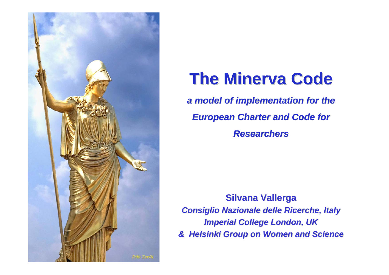

# **The Minerva Code The Minerva Code**

a model of implementation for the *European Charter and Code for Researchers Researchers*

**Silvana Vallerga Silvana Vallerga** *Consiglio Nazionale delle Ricerche, Italy Consiglio Nazionale delle Ricerche, Italy Imperial College London, UK Imperial College London, UK & Helsinki Group on Women and Science Helsinki Group on Women and Science*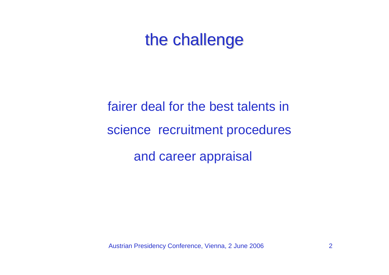## the challenge

fairer deal for the best talents in science recruitment procedures and career appraisal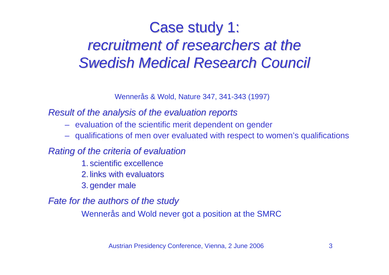## Case study 1: recruitment of researchers at the *Swedish Medical Research Council Swedish Medical Research Council*

Wennerås & Wold, Nature 347, 341-343 (1997)

#### *Result of the analys Result of the analysis of the evaluation reports of the evaluation reports*

- evaluation of the scientific merit dependent on gender
- qualifications of men over evaluated with respect to women's qualifications

### *Rating of the criteria of evaluation*

- 1. scientific excellence
- 2. links with evaluators
- 3. gender male

#### *Fate for the authors of the study Fate for the authors of the study*

Wennerås and Wold never got a position at the SMRC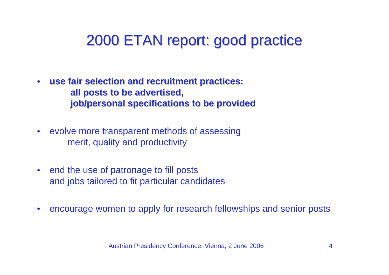## 2000 ETAN report: good practice 2000 ETAN report: good practice

- **use fair selection and recruitment practices: use fair selection and recruitment practices: all posts to be advertised, all posts to be advertised, job/personal specifications to be provided job/personal specifications to be provided**
- evolve more transparent methods of assessing merit, quality and productivity
- end the use of patronage to fill posts and jobs tailored to fit particular candidates
- $\bullet$ • encourage women to apply for research fellowships and senior posts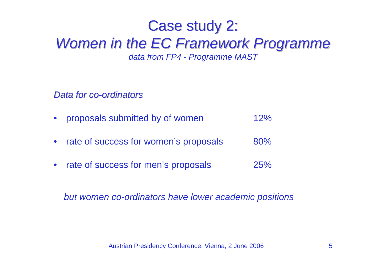### Case study 2: *Women in the EC Framework Programme Women in the EC Framework Programme data from FP4 - Programme MAST*

*Data for co-ordinators* 

- proposals submitted by of women 12%
- rate of success for women's proposals 80%
- rate of success for men's proposals 25%

*but women co-ordinators have lower academic positions*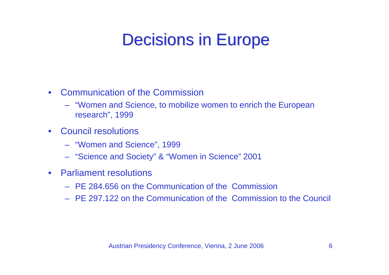# **Decisions in Europe**

- $\bullet$ Communication of the Commission
	- "Women and Science, to mobilize women to enrich the European research", 1999
- $\bullet$ Council resolutions
	- "Women and Science", 1999
	- "Science and Society" & "Women in Science" 2001
- $\bullet$ Parliament resolutions
	- PE 284.656 on the Communication of the Commission
	- PE 297.122 on the Communication of the Commission to the Council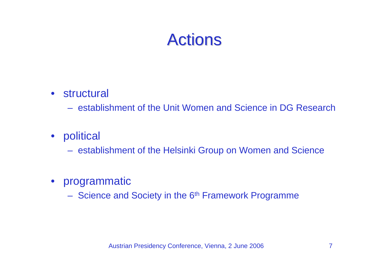# **Actions**

• structural

– establishment of the Unit Women and Science in DG Research

 $\bullet$ political

– establishment of the Helsinki Group on Women and Science

- programmatic
	- Science and Society in the 6<sup>th</sup> Framework Programme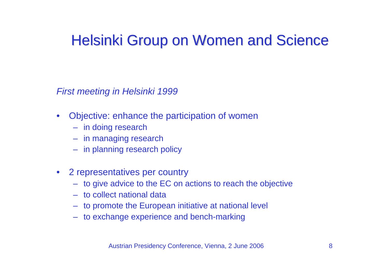## Helsinki Group on Women and Science

*First meeting in Helsinki 1999* 

- $\bullet$ Objective: enhance the participation of women
	- in doing research
	- in managing research
	- in planning research policy
- 2 representatives per country
	- to give advice to the EC on actions to reach the objective
	- to collect national data
	- to promote the European initiative at national level
	- to exchange experience and bench-marking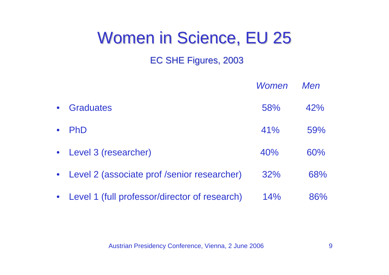# Women in Science, EU 25

### EC SHE Figures, 2003

|           |                                                 | Women | Men |
|-----------|-------------------------------------------------|-------|-----|
| $\bullet$ | <b>Graduates</b>                                | 58%   | 42% |
| $\bullet$ | <b>PhD</b>                                      | 41%   | 59% |
|           | • Level 3 (researcher)                          | 40%   | 60% |
|           | • Level 2 (associate prof /senior researcher)   | 32%   | 68% |
|           | • Level 1 (full professor/director of research) | 14%   | 86% |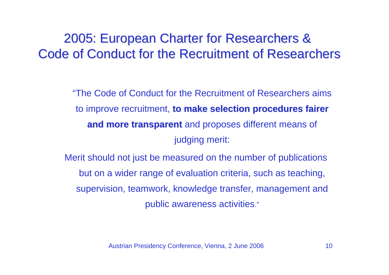### 2005: European Charter for Researchers & 2005: European Charter for Researchers & Code of Conduct for the Recruitment of Researchers

"The Code of Conduct for the Recruitment of Researchers aims to improve recruitment, **to make selection procedures fairer and m ore t ransparent ansparent** and proposes different means of judging merit:

Merit should not just be measured on the number of public ations but on a wider range of evaluation criteria, such as teaching, supervision, teamw ork, knowledge transfer, management and public awareness activities."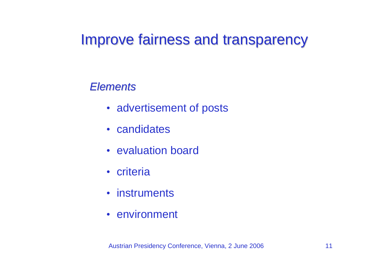### Improve fairness and transparency

### *Elements Elements*

- advertisement of posts
- candidates
- evaluation board
- criteria
- instruments
- environment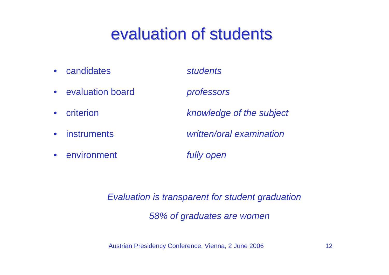# evaluation of students

- $\bullet$ candidates *students*
- $\bullet$ evaluation board *professors*
- •
- 
- environment *fully open*

criterion *knowledge of the subject* 

• instruments *written/oral examination* 

*Evaluation is transparent for student graduation* 

*58% of graduates are women*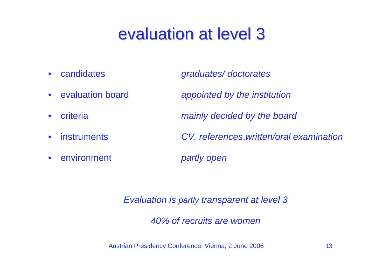# evaluation at level 3

- $\bullet$ candidates *graduates/ doctorates*
- evaluation board
- $\bullet$
- 
- environment *partly open*

appointed by the institution criteria *mainly decided by the board*  • instruments *CV, references*,*written/oral examination* 

*Evaluation is partly transparent at level 3* 

*40% of recruits are women*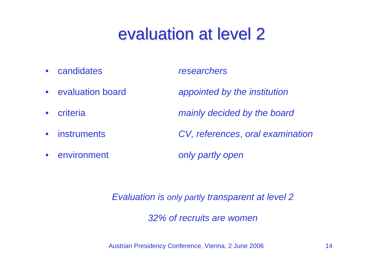# evaluation at level 2

candidates *researchers* 

- candidates
- •
- $\bullet$
- 
- environment *only partly*

appointed by the *institution* criteria *mainly decided by the board*  • instruments *CV, references*, *oral examination* 

only partly open

*Evaluation is only partly transparent at level 2* 

*32% of recruits are women*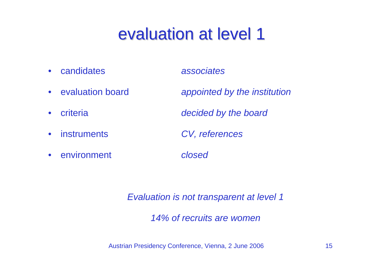# evaluation at level 1

candidates *associates* 

- •
- •
- $\bullet$
- instruments *CV, references*
- environment *closed*

appointed by the institution criteria *decided by the board* 

*Evaluation is not transparent at level 1* 

*14% of recruits are women*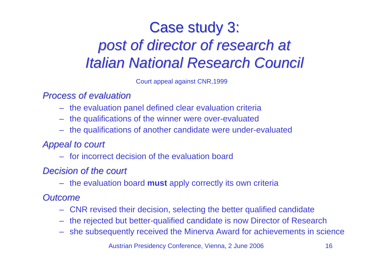## Case study 3: *post of director of research at of director of research at Italian National Research Council Italian National Research Council*

Court appeal against CNR,1999

### *Process of evaluation Process of evaluation*

- the evaluation panel defined clear evaluation criteria
- the qualifications of the winner were over-evaluated
- the qualifications of another candidate were under-evaluated

### *Appeal to court Appeal to court*

– for incorrect decision of the evaluation board

### **Decision of the court**

– the evaluation board **must** apply correctly its own criteria

### *Outcome Outcome*

- CNR revised their decision, selecting the better qualified candidate
- the rejected but better-qualified candidate is now Director of Research
- she subsequently received the Minerva Award for achievements in science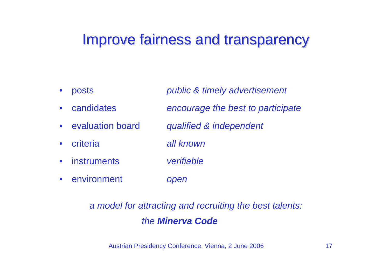### Improve fairness and transparency

• posts *public & timely advertisement*  • candidates *encourage the best to participate*   $\bullet$ evaluation board *qualified & independent*   $\bullet$ criteria *all known*  • instruments *verifiable*  • environment *open* 

### *a model for attracting and recruiting the best talents: the Minerva Code*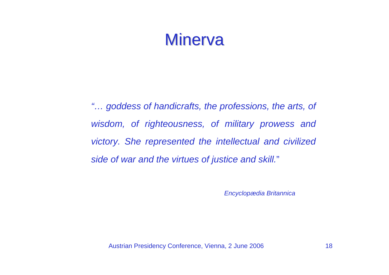## Minerva

*"… goddess of handicrafts, the professions, the arts, of wisdom, of righteousness, of military prowess and victory. She represented the intellectual and civilized side of war and the virtues of justice and skill.*"

*Encyclopædia Britannica*